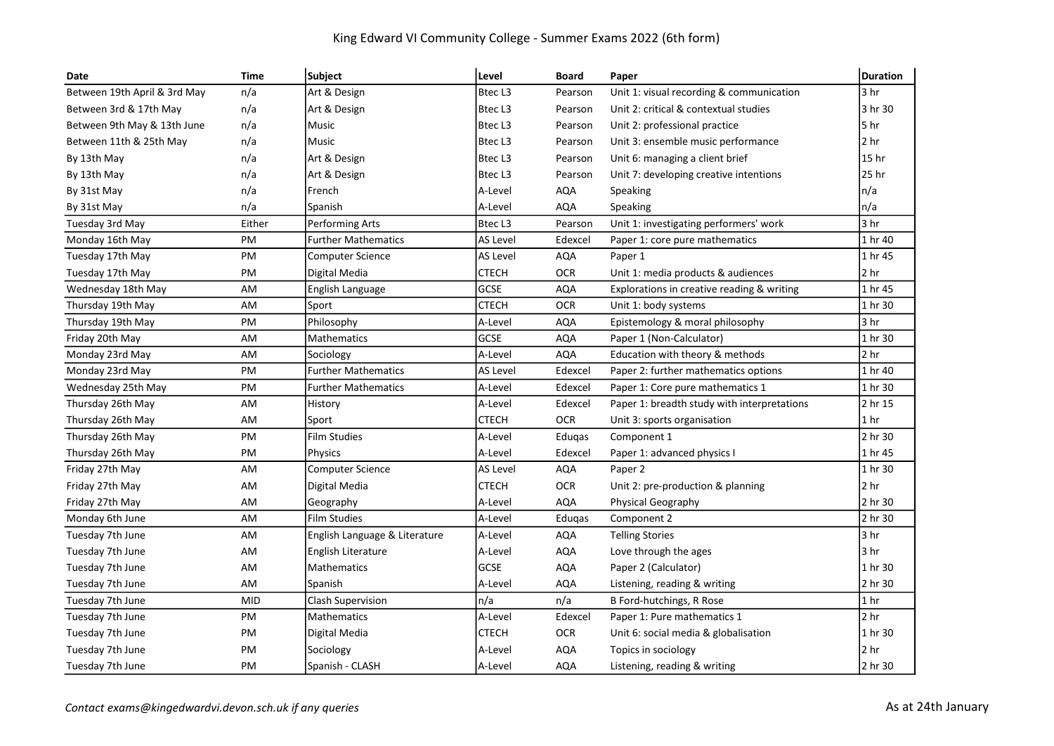## King Edward VI Community College - Summer Exams 2022 (6th form)

| Date                         | <b>Time</b> | Subject                       | Level       | <b>Board</b> | Paper                                       | <b>Duration</b> |
|------------------------------|-------------|-------------------------------|-------------|--------------|---------------------------------------------|-----------------|
| Between 19th April & 3rd May | n/a         | Art & Design                  | Btec L3     | Pearson      | Unit 1: visual recording & communication    | 3 hr            |
| Between 3rd & 17th May       | n/a         | Art & Design                  | Btec L3     | Pearson      | Unit 2: critical & contextual studies       | 3 hr 30         |
| Between 9th May & 13th June  | n/a         | Music                         | Btec L3     | Pearson      | Unit 2: professional practice               | 5 hr            |
| Between 11th & 25th May      | n/a         | Music                         | Btec L3     | Pearson      | Unit 3: ensemble music performance          | 2 <sub>hr</sub> |
| By 13th May                  | n/a         | Art & Design                  | Btec L3     | Pearson      | Unit 6: managing a client brief             | 15 hr           |
| By 13th May                  | n/a         | Art & Design                  | Btec L3     | Pearson      | Unit 7: developing creative intentions      | 25 hr           |
| By 31st May                  | n/a         | French                        | A-Level     | <b>AQA</b>   | Speaking                                    | n/a             |
| By 31st May                  | n/a         | Spanish                       | A-Level     | <b>AQA</b>   | Speaking                                    | n/a             |
| Tuesday 3rd May              | Either      | Performing Arts               | Btec L3     | Pearson      | Unit 1: investigating performers' work      | 3 hr            |
| Monday 16th May              | PM          | <b>Further Mathematics</b>    | AS Level    | Edexcel      | Paper 1: core pure mathematics              | 1 hr 40         |
| Tuesday 17th May             | PM          | <b>Computer Science</b>       | AS Level    | AQA          | Paper 1                                     | 1 hr 45         |
| Tuesday 17th May             | PM          | Digital Media                 | СТЕСН       | <b>OCR</b>   | Unit 1: media products & audiences          | 2 hr            |
| Wednesday 18th May           | AM          | English Language              | <b>GCSE</b> | <b>AQA</b>   | Explorations in creative reading & writing  | 1 hr 45         |
| Thursday 19th May            | AM          | Sport                         | CTECH       | <b>OCR</b>   | Unit 1: body systems                        | 1 hr 30         |
| Thursday 19th May            | PM          | Philosophy                    | A-Level     | <b>AQA</b>   | Epistemology & moral philosophy             | 3 <sub>hr</sub> |
| Friday 20th May              | AM          | <b>Mathematics</b>            | GCSE        | <b>AQA</b>   | Paper 1 (Non-Calculator)                    | 1 hr 30         |
| Monday 23rd May              | AM          | Sociology                     | A-Level     | <b>AQA</b>   | Education with theory & methods             | 2 hr            |
| Monday 23rd May              | PM          | <b>Further Mathematics</b>    | AS Level    | Edexcel      | Paper 2: further mathematics options        | 1 hr 40         |
| Wednesday 25th May           | PM          | <b>Further Mathematics</b>    | A-Level     | Edexcel      | Paper 1: Core pure mathematics 1            | 1 hr 30         |
| Thursday 26th May            | AM          | History                       | A-Level     | Edexcel      | Paper 1: breadth study with interpretations | 2 hr 15         |
| Thursday 26th May            | AM          | Sport                         | CTECH       | OCR          | Unit 3: sports organisation                 | 1 <sub>hr</sub> |
| Thursday 26th May            | PM          | <b>Film Studies</b>           | A-Level     | Edugas       | Component 1                                 | 2 hr 30         |
| Thursday 26th May            | PM          | Physics                       | A-Level     | Edexcel      | Paper 1: advanced physics I                 | 1 hr 45         |
| Friday 27th May              | AM          | <b>Computer Science</b>       | AS Level    | <b>AQA</b>   | Paper 2                                     | 1 hr 30         |
| Friday 27th May              | AM          | Digital Media                 | CTECH       | <b>OCR</b>   | Unit 2: pre-production & planning           | 2 <sub>hr</sub> |
| Friday 27th May              | AM          | Geography                     | A-Level     | <b>AQA</b>   | Physical Geography                          | 2 hr 30         |
| Monday 6th June              | AM          | <b>Film Studies</b>           | A-Level     | Eduqas       | Component 2                                 | 2 hr 30         |
| Tuesday 7th June             | AM          | English Language & Literature | A-Level     | AQA          | <b>Telling Stories</b>                      | 3 <sub>hr</sub> |
| Tuesday 7th June             | AM          | English Literature            | A-Level     | AQA          | Love through the ages                       | 3 <sub>hr</sub> |
| Tuesday 7th June             | AM          | <b>Mathematics</b>            | GCSE        | <b>AQA</b>   | Paper 2 (Calculator)                        | 1 hr 30         |
| Tuesday 7th June             | AM          | Spanish                       | A-Level     | <b>AQA</b>   | Listening, reading & writing                | 2 hr 30         |
| Tuesday 7th June             | <b>MID</b>  | <b>Clash Supervision</b>      | In/a        | n/a          | B Ford-hutchings, R Rose                    | 1 hr            |
| Tuesday 7th June             | PM          | <b>Mathematics</b>            | A-Level     | Edexcel      | Paper 1: Pure mathematics 1                 | 2 <sub>hr</sub> |
| Tuesday 7th June             | PM          | Digital Media                 | CTECH       | <b>OCR</b>   | Unit 6: social media & globalisation        | 1 hr 30         |
| Tuesday 7th June             | PM          | Sociology                     | A-Level     | AQA          | Topics in sociology                         | 2 hr            |
| Tuesday 7th June             | PM          | Spanish - CLASH               | A-Level     | <b>AQA</b>   | Listening, reading & writing                | 2 hr 30         |